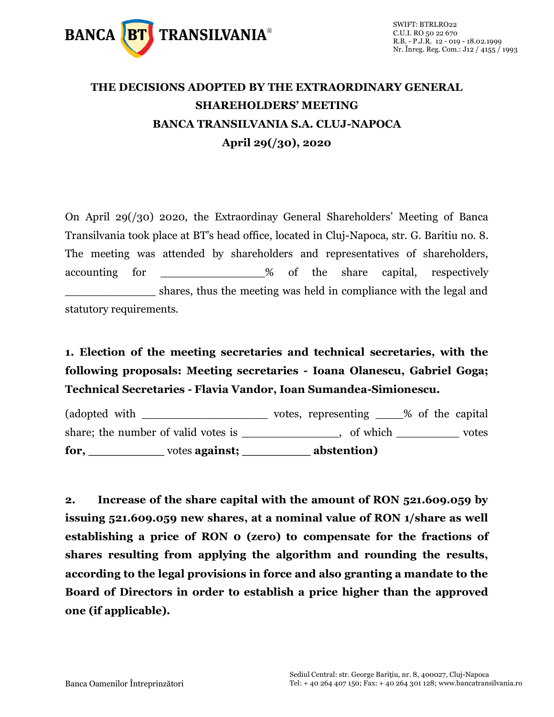

## **THE DECISIONS ADOPTED BY THE EXTRAORDINARY GENERAL SHAREHOLDERS' MEETING BANCA TRANSILVANIA S.A. CLUJ-NAPOCA April 29(/30), 2020**

On April 29(/30) 2020, the Extraordinay General Shareholders' Meeting of Banca Transilvania took place at BT's head office, located in Cluj-Napoca, str. G. Baritiu no. 8. The meeting was attended by shareholders and representatives of shareholders, accounting for  $\frac{1}{2}$  of the share capital, respectively shares, thus the meeting was held in compliance with the legal and statutory requirements.

## **1. Election of the meeting secretaries and technical secretaries, with the following proposals: Meeting secretaries - Ioana Olanescu, Gabriel Goga; Technical Secretaries - Flavia Vandor, Ioan Sumandea-Simionescu.**

(adopted with \_\_\_\_\_\_\_\_\_\_\_\_\_\_\_\_\_\_\_\_\_\_\_\_ votes, representing \_\_\_\_% of the capital share; the number of valid votes is \_\_\_\_\_\_\_\_\_\_\_\_\_, of which \_\_\_\_\_\_\_\_\_\_ votes **for, \_\_\_\_\_\_\_\_\_\_** votes **against; \_\_\_\_\_\_\_\_\_ abstention)**

**2. Increase of the share capital with the amount of RON 521.609.059 by issuing 521.609.059 new shares, at a nominal value of RON 1/share as well establishing a price of RON 0 (zero) to compensate for the fractions of shares resulting from applying the algorithm and rounding the results, according to the legal provisions in force and also granting a mandate to the Board of Directors in order to establish a price higher than the approved one (if applicable).**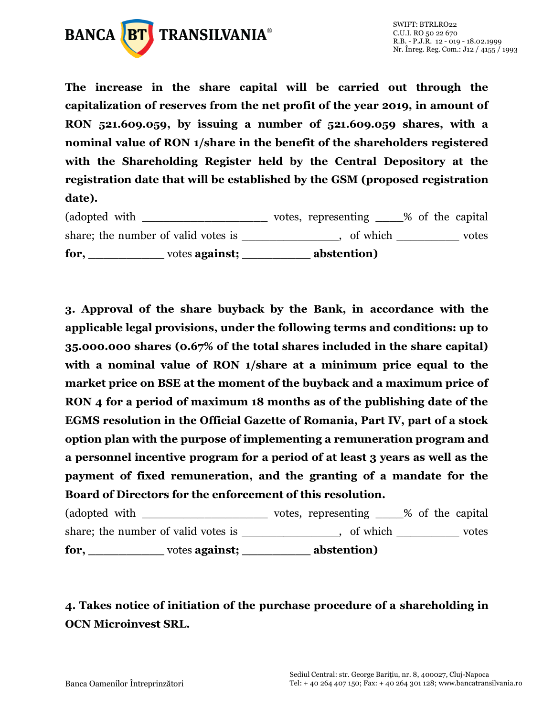

**The increase in the share capital will be carried out through the capitalization of reserves from the net profit of the year 2019, in amount of RON 521.609.059, by issuing a number of 521.609.059 shares, with a nominal value of RON 1/share in the benefit of the shareholders registered with the Shareholding Register held by the Central Depository at the registration date that will be established by the GSM (proposed registration date).**

| for.                                | votes against; | abstention)         |                  |       |
|-------------------------------------|----------------|---------------------|------------------|-------|
| share; the number of valid votes is |                | of which            |                  | votes |
| (adopted with                       |                | votes, representing | % of the capital |       |

**3. Approval of the share buyback by the Bank, in accordance with the applicable legal provisions, under the following terms and conditions: up to 35.000.000 shares (0.67% of the total shares included in the share capital) with a nominal value of RON 1/share at a minimum price equal to the market price on BSE at the moment of the buyback and a maximum price of RON 4 for a period of maximum 18 months as of the publishing date of the EGMS resolution in the Official Gazette of Romania, Part IV, part of a stock option plan with the purpose of implementing a remuneration program and a personnel incentive program for a period of at least 3 years as well as the payment of fixed remuneration, and the granting of a mandate for the Board of Directors for the enforcement of this resolution.**

(adopted with \_\_\_\_\_\_\_\_\_\_\_\_\_\_\_\_\_\_\_\_\_\_\_ votes, representing \_\_\_\_% of the capital share; the number of valid votes is example the number of valid votes is  $\qquad \qquad$ , of which votes **for, \_\_\_\_\_\_\_\_\_\_** votes **against; \_\_\_\_\_\_\_\_\_ abstention)**

## **4. Takes notice of initiation of the purchase procedure of a shareholding in OCN Microinvest SRL.**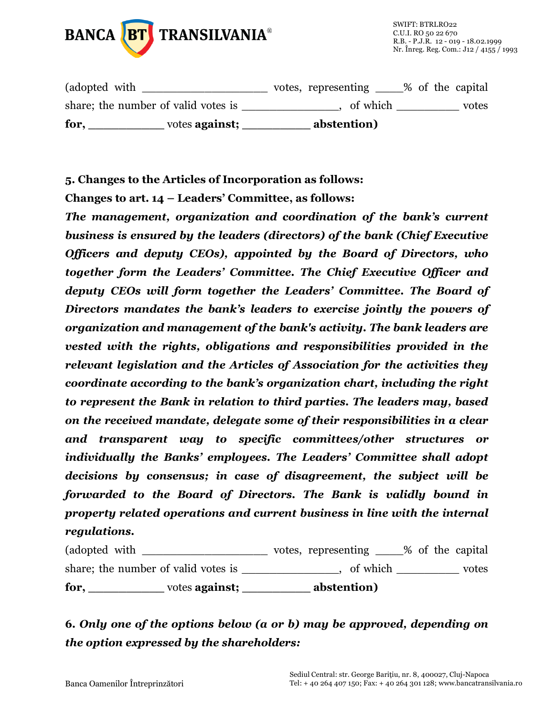

| for,                                | votes against; | abstention)         |                  |
|-------------------------------------|----------------|---------------------|------------------|
| share; the number of valid votes is |                | of which            | votes            |
| (adopted with                       |                | votes, representing | % of the capital |

**5. Changes to the Articles of Incorporation as follows:**

**Changes to art. 14 – Leaders' Committee, as follows:**

*The management, organization and coordination of the bank's current business is ensured by the leaders (directors) of the bank (Chief Executive Officers and deputy CEOs), appointed by the Board of Directors, who together form the Leaders' Committee. The Chief Executive Officer and deputy CEOs will form together the Leaders' Committee. The Board of Directors mandates the bank's leaders to exercise jointly the powers of organization and management of the bank's activity. The bank leaders are vested with the rights, obligations and responsibilities provided in the relevant legislation and the Articles of Association for the activities they coordinate according to the bank's organization chart, including the right to represent the Bank in relation to third parties. The leaders may, based on the received mandate, delegate some of their responsibilities in a clear and transparent way to specific committees/other structures or individually the Banks' employees. The Leaders' Committee shall adopt decisions by consensus; in case of disagreement, the subject will be forwarded to the Board of Directors. The Bank is validly bound in property related operations and current business in line with the internal regulations.*

| for.                                | votes <b>against</b> ; | abstention)         |                  |       |
|-------------------------------------|------------------------|---------------------|------------------|-------|
| share; the number of valid votes is |                        | of which            |                  | votes |
| (adopted with)                      |                        | votes, representing | % of the capital |       |

**6.** *Only one of the options below (a or b) may be approved, depending on the option expressed by the shareholders:*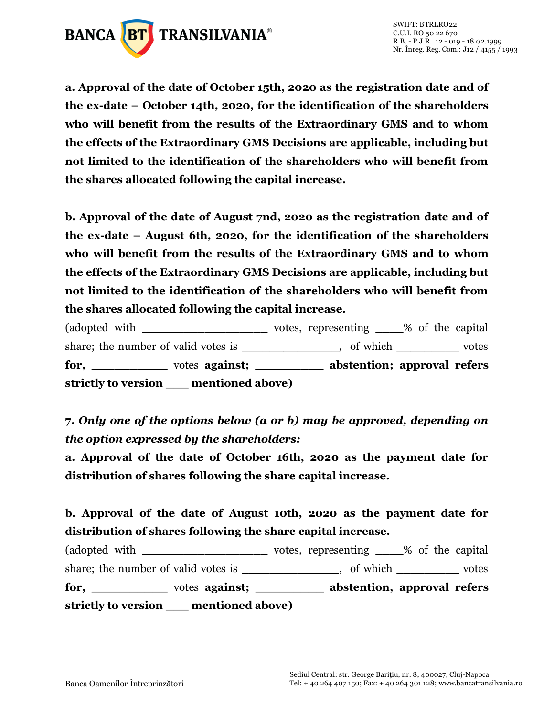

**a. Approval of the date of October 15th, 2020 as the registration date and of the ex-date – October 14th, 2020, for the identification of the shareholders who will benefit from the results of the Extraordinary GMS and to whom the effects of the Extraordinary GMS Decisions are applicable, including but not limited to the identification of the shareholders who will benefit from the shares allocated following the capital increase.** 

**b. Approval of the date of August 7nd, 2020 as the registration date and of the ex-date – August 6th, 2020, for the identification of the shareholders who will benefit from the results of the Extraordinary GMS and to whom the effects of the Extraordinary GMS Decisions are applicable, including but not limited to the identification of the shareholders who will benefit from the shares allocated following the capital increase.**

(adopted with \_\_\_\_\_\_\_\_\_\_\_\_\_\_\_\_\_\_\_\_\_\_\_\_ votes, representing \_\_\_\_% of the capital share; the number of valid votes is \_\_\_\_\_\_\_\_\_\_\_\_\_, of which \_\_\_\_\_\_\_\_\_\_ votes **for, \_\_\_\_\_\_\_\_\_\_** votes **against; \_\_\_\_\_\_\_\_\_ abstention; approval refers strictly to version \_\_\_ mentioned above)**

**7.** *Only one of the options below (a or b) may be approved, depending on the option expressed by the shareholders:*

**a. Approval of the date of October 16th, 2020 as the payment date for distribution of shares following the share capital increase.** 

## **b. Approval of the date of August 10th, 2020 as the payment date for distribution of shares following the share capital increase.**

(adopted with \_\_\_\_\_\_\_\_\_\_\_\_\_\_\_\_\_\_\_\_\_\_\_\_ votes, representing \_\_\_\_% of the capital share; the number of valid votes is \_\_\_\_\_\_\_\_\_\_\_\_, of which \_\_\_\_\_\_\_\_\_\_ votes **for, \_\_\_\_\_\_\_\_\_\_** votes **against; \_\_\_\_\_\_\_\_\_ abstention, approval refers strictly to version \_\_\_ mentioned above)**